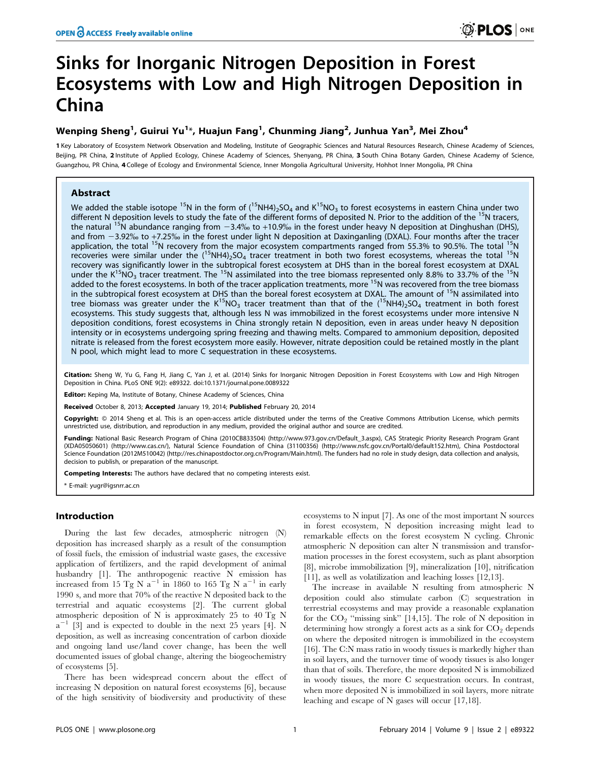# Sinks for Inorganic Nitrogen Deposition in Forest Ecosystems with Low and High Nitrogen Deposition in China

# Wenping Sheng<sup>1</sup>, Guirui Yu<sup>1</sup>\*, Huajun Fang<sup>1</sup>, Chunming Jiang<sup>2</sup>, Junhua Yan<sup>3</sup>, Mei Zhou<sup>4</sup>

1 Key Laboratory of Ecosystem Network Observation and Modeling, Institute of Geographic Sciences and Natural Resources Research, Chinese Academy of Sciences, Beijing, PR China, 2 Institute of Applied Ecology, Chinese Academy of Sciences, Shenyang, PR China, 3 South China Botany Garden, Chinese Academy of Science, Guangzhou, PR China, 4 College of Ecology and Environmental Science, Inner Mongolia Agricultural University, Hohhot Inner Mongolia, PR China

# Abstract

We added the stable isotope <sup>15</sup>N in the form of (<sup>15</sup>NH4)<sub>2</sub>SO<sub>4</sub> and K<sup>15</sup>NO<sub>3</sub> to forest ecosystems in eastern China under two different N deposition levels to study the fate of the different forms of deposited N. Prior to the addition of the <sup>15</sup>N tracers, the natural <sup>15</sup>N abundance ranging from  $-3.4\%$  to +10.9% in the forest under heavy N deposition at Dinghushan (DHS), and from -3.92% to +7.25% in the forest under light N deposition at Daxinganling (DXAL). Four months after the tracer application, the total <sup>15</sup>N recovery from the major ecosystem compartments ranged from 55.3% to 90.5%. The total <sup>15</sup>N recoveries were similar under the  $(^{15}NH4)_{2}SO_{4}$  tracer treatment in both two forest ecosystems, whereas the total  $^{15}N$ recovery was significantly lower in the subtropical forest ecosystem at DHS than in the boreal forest ecosystem at DXAL under the K<sup>15</sup>NO<sub>3</sub> tracer treatment. The <sup>15</sup>N assimilated into the tree biomass represented only 8.8% to 33.7% of the <sup>15</sup>N added to the forest ecosystems. In both of the tracer application treatments, more <sup>15</sup>N was recovered from the tree biomass in the subtropical forest ecosystem at DHS than the boreal forest ecosystem at DXAL. The amount of <sup>15</sup>N assimilated into tree biomass was greater under the  $K^{15}NO_3$  tracer treatment than that of the ( $^{15}NH4$ )>SO<sub>4</sub> treatment in both forest ecosystems. This study suggests that, although less N was immobilized in the forest ecosystems under more intensive N deposition conditions, forest ecosystems in China strongly retain N deposition, even in areas under heavy N deposition intensity or in ecosystems undergoing spring freezing and thawing melts. Compared to ammonium deposition, deposited nitrate is released from the forest ecosystem more easily. However, nitrate deposition could be retained mostly in the plant N pool, which might lead to more C sequestration in these ecosystems.

Citation: Sheng W, Yu G, Fang H, Jiang C, Yan J, et al. (2014) Sinks for Inorganic Nitrogen Deposition in Forest Ecosystems with Low and High Nitrogen Deposition in China. PLoS ONE 9(2): e89322. doi:10.1371/journal.pone.0089322

Editor: Keping Ma, Institute of Botany, Chinese Academy of Sciences, China

Received October 8, 2013; Accepted January 19, 2014; Published February 20, 2014

Copyright: @ 2014 Sheng et al. This is an open-access article distributed under the terms of the [Creative Commons Attribution License](http://creativecommons.org/licenses/by/4.0/), which permits unrestricted use, distribution, and reproduction in any medium, provided the original author and source are credited.

Funding: National Basic Research Program of China (2010CB833504) (http://www.973.gov.cn/Default\_3.aspx), CAS Strategic Priority Research Program Grant (XDA05050601) (http://www.cas.cn/), Natural Science Foundation of China (31100356) (http://www.nsfc.gov.cn/Portal0/default152.htm), China Postdoctoral Science Foundation (2012M510042) (http://res.chinapostdoctor.org.cn/Program/Main.html). The funders had no role in study design, data collection and analysis, decision to publish, or preparation of the manuscript.

Competing Interests: The authors have declared that no competing interests exist.

\* E-mail: yugr@igsnrr.ac.cn

# Introduction

During the last few decades, atmospheric nitrogen (N) deposition has increased sharply as a result of the consumption of fossil fuels, the emission of industrial waste gases, the excessive application of fertilizers, and the rapid development of animal husbandry [1]. The anthropogenic reactive N emission has increased from 15 Tg N  $a^{-1}$  in 1860 to 165 Tg N  $a^{-1}$  in early 1990 s, and more that 70% of the reactive N deposited back to the terrestrial and aquatic ecosystems [2]. The current global atmospheric deposition of N is approximately 25 to 40 Tg N  $a^{-1}$  [3] and is expected to double in the next 25 years [4]. N deposition, as well as increasing concentration of carbon dioxide and ongoing land use/land cover change, has been the well documented issues of global change, altering the biogeochemistry of ecosystems [5].

There has been widespread concern about the effect of increasing N deposition on natural forest ecosystems [6], because of the high sensitivity of biodiversity and productivity of these

ecosystems to N input [7]. As one of the most important N sources in forest ecosystem, N deposition increasing might lead to remarkable effects on the forest ecosystem N cycling. Chronic atmospheric N deposition can alter N transmission and transformation processes in the forest ecosystem, such as plant absorption [8], microbe immobilization [9], mineralization [10], nitrification [11], as well as volatilization and leaching losses [12,13].

The increase in available N resulting from atmospheric N deposition could also stimulate carbon (C) sequestration in terrestrial ecosystems and may provide a reasonable explanation for the  $CO_2$  "missing sink" [14,15]. The role of N deposition in determining how strongly a forest acts as a sink for  $CO<sub>2</sub>$  depends on where the deposited nitrogen is immobilized in the ecosystem [16]. The C:N mass ratio in woody tissues is markedly higher than in soil layers, and the turnover time of woody tissues is also longer than that of soils. Therefore, the more deposited N is immobilized in woody tissues, the more C sequestration occurs. In contrast, when more deposited N is immobilized in soil layers, more nitrate leaching and escape of N gases will occur [17,18].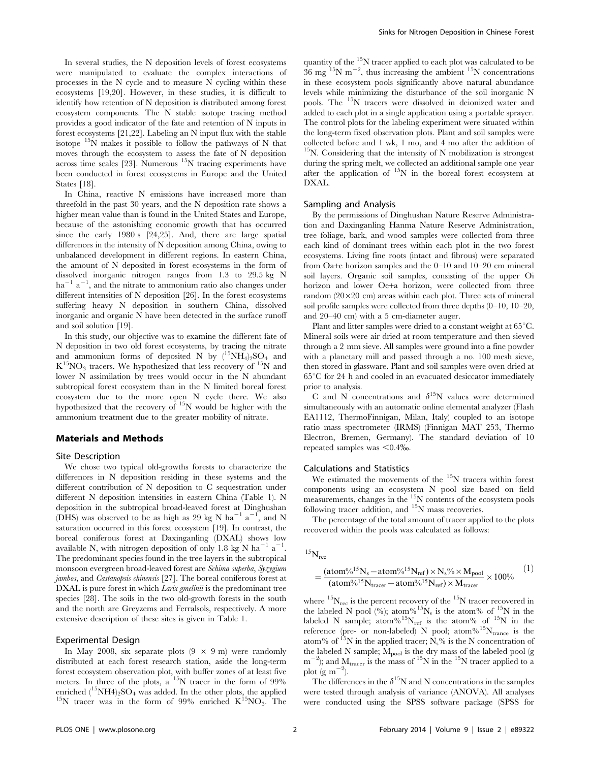In several studies, the N deposition levels of forest ecosystems were manipulated to evaluate the complex interactions of processes in the N cycle and to measure N cycling within these ecosystems [19,20]. However, in these studies, it is difficult to identify how retention of N deposition is distributed among forest ecosystem components. The N stable isotope tracing method provides a good indicator of the fate and retention of N inputs in forest ecosystems [21,22]. Labeling an N input flux with the stable isotope  $15N$  makes it possible to follow the pathways of N that moves through the ecosystem to assess the fate of N deposition across time scales [23]. Numerous  $15N$  tracing experiments have been conducted in forest ecosystems in Europe and the United States [18].

In China, reactive N emissions have increased more than threefold in the past 30 years, and the N deposition rate shows a higher mean value than is found in the United States and Europe, because of the astonishing economic growth that has occurred since the early 1980 s [24,25]. And, there are large spatial differences in the intensity of N deposition among China, owing to unbalanced development in different regions. In eastern China, the amount of N deposited in forest ecosystems in the form of dissolved inorganic nitrogen ranges from 1.3 to 29.5 kg N  $ha^{-1}$   $a^{-1}$ , and the nitrate to ammonium ratio also changes under different intensities of N deposition [26]. In the forest ecosystems suffering heavy N deposition in southern China, dissolved inorganic and organic N have been detected in the surface runoff and soil solution [19].

In this study, our objective was to examine the different fate of N deposition in two old forest ecosystems, by tracing the nitrate and ammonium forms of deposited N by  $(^{15}NH_4)_2SO_4$  and  $K^{15}NO<sub>3</sub>$  tracers. We hypothesized that less recovery of  $^{15}N$  and lower N assimilation by trees would occur in the N abundant subtropical forest ecosystem than in the N limited boreal forest ecosystem due to the more open N cycle there. We also hypothesized that the recovery of 15N would be higher with the ammonium treatment due to the greater mobility of nitrate.

#### Materials and Methods

#### Site Description

We chose two typical old-growths forests to characterize the differences in N deposition residing in these systems and the different contribution of N deposition to C sequestration under different N deposition intensities in eastern China (Table 1). N deposition in the subtropical broad-leaved forest at Dinghushan (DHS) was observed to be as high as 29 kg N ha<sup>-1</sup> a<sup>-1</sup>, and N saturation occurred in this forest ecosystem [19]. In contrast, the boreal coniferous forest at Daxinganling (DXAL) shows low available N, with nitrogen deposition of only 1.8 kg N ha<sup>-1</sup> a<sup>-1</sup> . The predominant species found in the tree layers in the subtropical monsoon evergreen broad-leaved forest are Schima superba, Syzygium jambos, and Castanopsis chinensis [27]. The boreal coniferous forest at DXAL is pure forest in which *Larix gmelinii* is the predominant tree species [28]. The soils in the two old-growth forests in the south and the north are Greyzems and Ferralsols, respectively. A more extensive description of these sites is given in Table 1.

#### Experimental Design

In May 2008, six separate plots  $(9 \times 9 \text{ m})$  were randomly distributed at each forest research station, aside the long-term forest ecosystem observation plot, with buffer zones of at least five meters. In three of the plots, a <sup>15</sup>N tracer in the form of 99% enriched  $(^{15}NH4)_2$ SO<sub>4</sub> was added. In the other plots, the applied  $^{15}N$  tracer was in the form of 99% enriched K<sup>15</sup>NO<sub>3</sub>. The quantity of the <sup>15</sup>N tracer applied to each plot was calculated to be  $36 \text{ mg}$ <sup>15</sup>N m<sup>-2</sup>, thus increasing the ambient <sup>15</sup>N concentrations in these ecosystem pools significantly above natural abundance levels while minimizing the disturbance of the soil inorganic N pools. The <sup>15</sup>N tracers were dissolved in deionized water and added to each plot in a single application using a portable sprayer. The control plots for the labeling experiment were situated within the long-term fixed observation plots. Plant and soil samples were collected before and 1 wk, 1 mo, and 4 mo after the addition of  $15$ N. Considering that the intensity of N mobilization is strongest during the spring melt, we collected an additional sample one year after the application of 15N in the boreal forest ecosystem at DXAL.

#### Sampling and Analysis

By the permissions of Dinghushan Nature Reserve Administration and Daxinganling Hanma Nature Reserve Administration, tree foliage, bark, and wood samples were collected from three each kind of dominant trees within each plot in the two forest ecosystems. Living fine roots (intact and fibrous) were separated from Oa+e horizon samples and the 0–10 and 10–20 cm mineral soil layers. Organic soil samples, consisting of the upper Oi horizon and lower Oe+a horizon, were collected from three random  $(20\times20$  cm) areas within each plot. Three sets of mineral soil profile samples were collected from three depths (0–10, 10–20, and 20–40 cm) with a 5 cm-diameter auger.

Plant and litter samples were dried to a constant weight at  $65^{\circ}$ C. Mineral soils were air dried at room temperature and then sieved through a 2 mm sieve. All samples were ground into a fine powder with a planetary mill and passed through a no. 100 mesh sieve, then stored in glassware. Plant and soil samples were oven dried at  $65^{\circ}$ C for 24 h and cooled in an evacuated desiccator immediately prior to analysis.

C and N concentrations and  $\delta^{15}N$  values were determined simultaneously with an automatic online elemental analyzer (Flash EA1112, ThermoFinnigan, Milan, Italy) coupled to an isotope ratio mass spectrometer (IRMS) (Finnigan MAT 253, Thermo Electron, Bremen, Germany). The standard deviation of 10 repeated samples was  $< 0.4\%$ .

#### Calculations and Statistics

We estimated the movements of the  $15N$  tracers within forest components using an ecosystem N pool size based on field measurements, changes in the 15N contents of the ecosystem pools following tracer addition, and  $15N$  mass recoveries.

The percentage of the total amount of tracer applied to the plots recovered within the pools was calculated as follows:

$$
^{15}\rm{N}_{\rm{rec}}
$$

$$
=\frac{(atom\%^{15}N_s-atom\%^{15}N_{ref})\times N_s\% \times M_{pool}}{(atom\%^{15}N_{tracer}-atom\%^{15}N_{ref}) \times M_{tracer}} \times 100\% \hspace{1cm} (1)
$$

where  $^{15}N_{\text{rec}}$  is the percent recovery of the  $^{15}N$  tracer recovered in the labeled N pool (%); atom%<sup>15</sup>N<sub>s</sub> is the atom% of <sup>15</sup>N in the labeled N sample; atom%<sup>15</sup>N<sub>ref</sub> is the atom% of <sup>15</sup>N in the reference (pre- or non-labeled) N pool; atom<sup>%15</sup>N<sub>trance</sub> is the atom% of  $^{15}N$  in the applied tracer;  $N_s$ % is the N concentration of the labeled N sample;  $M_{pool}$  is the dry mass of the labeled pool (g  $(m^{-2})$ ; and  $M_{\text{tracer}}$  is the mass of <sup>15</sup>N in the <sup>15</sup>N tracer applied to a plot  $(g m^{-2})$ .

The differences in the  $\delta^{15}N$  and N concentrations in the samples were tested through analysis of variance (ANOVA). All analyses were conducted using the SPSS software package (SPSS for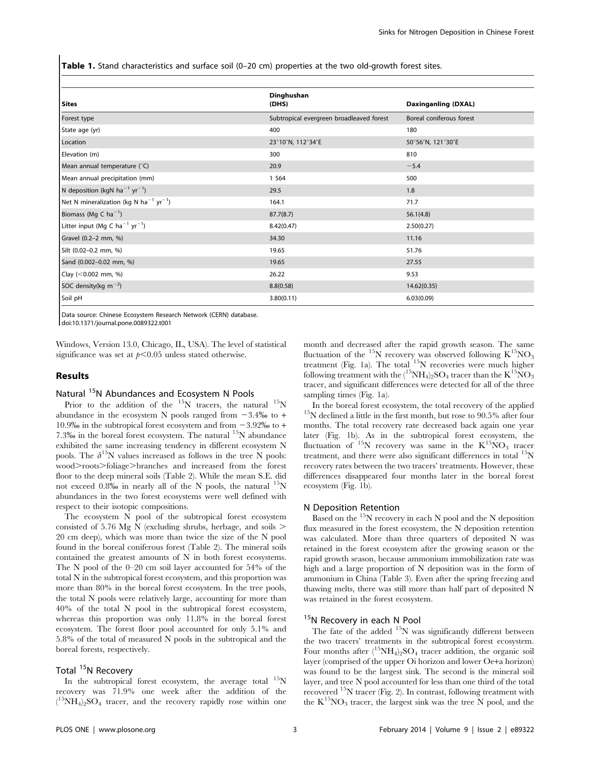Table 1. Stand characteristics and surface soil (0-20 cm) properties at the two old-growth forest sites.

| <b>Sites</b>                                                   | Dinghushan<br>(DHS)                      | Daxinganling (DXAL)      |  |
|----------------------------------------------------------------|------------------------------------------|--------------------------|--|
| Forest type                                                    | Subtropical evergreen broadleaved forest | Boreal coniferous forest |  |
| State age (yr)                                                 | 400                                      | 180                      |  |
| Location                                                       | 23°10'N, 112°34'E                        | 50°56'N, 121°30'E        |  |
| Elevation (m)                                                  | 300                                      | 810                      |  |
| Mean annual temperature (°C)                                   | 20.9                                     | $-5.4$                   |  |
| Mean annual precipitation (mm)                                 | 1 5 6 4                                  | 500                      |  |
| N deposition (kgN ha <sup>-1</sup> yr <sup>-1</sup> )          | 29.5                                     | 1.8                      |  |
| Net N mineralization (kg N ha <sup>-1</sup> yr <sup>-1</sup> ) | 164.1                                    | 71.7                     |  |
| Biomass (Mg C $ha^{-1}$ )                                      | 87.7(8.7)                                | 56.1(4.8)                |  |
| Litter input (Mg C ha <sup>-1</sup> yr <sup>-1</sup> )         | 8.42(0.47)                               | 2.50(0.27)               |  |
| Gravel (0.2-2 mm, %)                                           | 34.30                                    | 11.16                    |  |
| Silt (0.02-0.2 mm, %)                                          | 19.65                                    | 51.76                    |  |
| Sand (0.002-0.02 mm, %)                                        | 19.65                                    | 27.55                    |  |
| Clay (<0.002 mm, %)                                            | 26.22                                    | 9.53                     |  |
| SOC density(kg $m^{-2}$ )                                      | 8.8(0.58)                                | 14.62(0.35)              |  |
| Soil pH                                                        | 3.80(0.11)                               | 6.03(0.09)               |  |

Data source: Chinese Ecosystem Research Network (CERN) database.

doi:10.1371/journal.pone.0089322.t001

Windows, Version 13.0, Chicago, IL, USA). The level of statistical significance was set at  $p<0.05$  unless stated otherwise.

#### Results

# Natural <sup>15</sup>N Abundances and Ecosystem N Pools

Prior to the addition of the  $^{15}N$  tracers, the natural  $^{15}N$ abundance in the ecosystem N pools ranged from  $-3.4\%$  to  $+$ 10.9‰ in the subtropical forest ecosystem and from  $-3.92%$  to + 7.3‰ in the boreal forest ecosystem. The natural  $^{15}N$  abundance exhibited the same increasing tendency in different ecosystem N pools. The  $\delta^{15}N$  values increased as follows in the tree N pools: wood>roots>foliage>branches and increased from the forest floor to the deep mineral soils (Table 2). While the mean S.E. did not exceed  $0.8\%$  in nearly all of the N pools, the natural  $^{15}N$ abundances in the two forest ecosystems were well defined with respect to their isotopic compositions.

The ecosystem N pool of the subtropical forest ecosystem consisted of 5.76 Mg N (excluding shrubs, herbage, and soils  $\geq$ 20 cm deep), which was more than twice the size of the N pool found in the boreal coniferous forest (Table 2). The mineral soils contained the greatest amounts of N in both forest ecosystems. The N pool of the 0–20 cm soil layer accounted for 54% of the total N in the subtropical forest ecosystem, and this proportion was more than 80% in the boreal forest ecosystem. In the tree pools, the total N pools were relatively large, accounting for more than 40% of the total N pool in the subtropical forest ecosystem, whereas this proportion was only 11.8% in the boreal forest ecosystem. The forest floor pool accounted for only 5.1% and 5.8% of the total of measured N pools in the subtropical and the boreal forests, respectively.

# Total <sup>15</sup>N Recovery

In the subtropical forest ecosystem, the average total  $^{15}$ N recovery was 71.9% one week after the addition of the  $({}^{15}NH_4)_2SO_4$  tracer, and the recovery rapidly rose within one month and decreased after the rapid growth season. The same fluctuation of the  $^{15}N$  recovery was observed following  $K^{15}NO<sub>3</sub>$ treatment (Fig. 1a). The total <sup>15</sup>N recoveries were much higher following treatment with the  $(^{15}NH_4)_2SO_4$  tracer than the  $K^{15}NO_3$ tracer, and significant differences were detected for all of the three sampling times (Fig. 1a).

In the boreal forest ecosystem, the total recovery of the applied  $^{15}N$  declined a little in the first month, but rose to 90.5% after four months. The total recovery rate decreased back again one year later (Fig. 1b). As in the subtropical forest ecosystem, the fluctuation of  $15N$  recovery was same in the  $K^{15}NO<sub>3</sub>$  tracer treatment, and there were also significant differences in total  $\mathrm{^{15}N}$ recovery rates between the two tracers' treatments. However, these differences disappeared four months later in the boreal forest ecosystem (Fig. 1b).

#### N Deposition Retention

Based on the  $15N$  recovery in each N pool and the N deposition flux measured in the forest ecosystem, the N deposition retention was calculated. More than three quarters of deposited N was retained in the forest ecosystem after the growing season or the rapid growth season, because ammonium immobilization rate was high and a large proportion of N deposition was in the form of ammonium in China (Table 3). Even after the spring freezing and thawing melts, there was still more than half part of deposited N was retained in the forest ecosystem.

# <sup>15</sup>N Recovery in each N Pool

The fate of the added  $15N$  was significantly different between the two tracers' treatments in the subtropical forest ecosystem. Four months after  $(^{15}NH_4)_2SO_4$  tracer addition, the organic soil layer (comprised of the upper Oi horizon and lower Oe+a horizon) was found to be the largest sink. The second is the mineral soil layer, and tree N pool accounted for less than one third of the total recovered  $^{15}N$  tracer (Fig. 2). In contrast, following treatment with the  $K^{15}NO_3$  tracer, the largest sink was the tree N pool, and the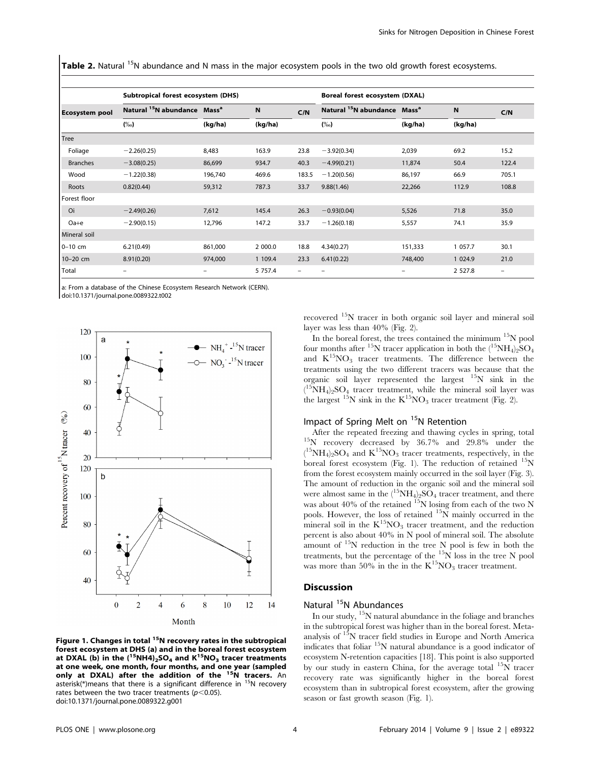Table 2. Natural <sup>15</sup>N abundance and N mass in the major ecosystem pools in the two old growth forest ecosystems.

| <b>Ecosystem pool</b> | Subtropical forest ecosystem (DHS)                  |         |            |       | Boreal forest ecosystem (DXAL)                      |          |           |                   |
|-----------------------|-----------------------------------------------------|---------|------------|-------|-----------------------------------------------------|----------|-----------|-------------------|
|                       | Natural <sup>15</sup> N abundance Mass <sup>a</sup> |         | ${\bf N}$  | C/N   | Natural <sup>15</sup> N abundance Mass <sup>a</sup> |          | N         | C/N               |
|                       | $(\%0)$                                             | (kg/ha) | (kg/ha)    |       | $(\%0)$                                             | (kg/ha)  | (kg/ha)   |                   |
| Tree                  |                                                     |         |            |       |                                                     |          |           |                   |
| Foliage               | $-2.26(0.25)$                                       | 8,483   | 163.9      | 23.8  | $-3.92(0.34)$                                       | 2,039    | 69.2      | 15.2              |
| <b>Branches</b>       | $-3.08(0.25)$                                       | 86,699  | 934.7      | 40.3  | $-4.99(0.21)$                                       | 11,874   | 50.4      | 122.4             |
| Wood                  | $-1.22(0.38)$                                       | 196,740 | 469.6      | 183.5 | $-1.20(0.56)$                                       | 86,197   | 66.9      | 705.1             |
| Roots                 | 0.82(0.44)                                          | 59,312  | 787.3      | 33.7  | 9.88(1.46)                                          | 22,266   | 112.9     | 108.8             |
| Forest floor          |                                                     |         |            |       |                                                     |          |           |                   |
| Oi                    | $-2.49(0.26)$                                       | 7,612   | 145.4      | 26.3  | $-0.93(0.04)$                                       | 5,526    | 71.8      | 35.0              |
| $Oa + e$              | $-2.90(0.15)$                                       | 12,796  | 147.2      | 33.7  | $-1.26(0.18)$                                       | 5,557    | 74.1      | 35.9              |
| Mineral soil          |                                                     |         |            |       |                                                     |          |           |                   |
| $0-10$ cm             | 6.21(0.49)                                          | 861,000 | 2 000.0    | 18.8  | 4.34(0.27)                                          | 151,333  | 1 057.7   | 30.1              |
| 10-20 cm              | 8.91(0.20)                                          | 974,000 | 1 109.4    | 23.3  | 6.41(0.22)                                          | 748,400  | 1 024.9   | 21.0              |
| Total                 | -                                                   |         | 5 7 5 7 .4 |       |                                                     | $\equiv$ | 2 5 2 7.8 | $\qquad \qquad -$ |

a: From a database of the Chinese Ecosystem Research Network (CERN).

doi:10.1371/journal.pone.0089322.t002



Figure 1. Changes in total <sup>15</sup>N recovery rates in the subtropical forest ecosystem at DHS (a) and in the boreal forest ecosystem at DXAL (b) in the  $(^{15}NH4)_2SO_4$  and  $K^{15}NO_3$  tracer treatments at one week, one month, four months, and one year (sampled<br>only at DXAL) after the addition of the <sup>15</sup>N tracers. An asterisk(\*)means that there is a significant difference in  $15N$  recovery rates between the two tracer treatments ( $p$ <0.05). doi:10.1371/journal.pone.0089322.g001

recovered 15N tracer in both organic soil layer and mineral soil layer was less than 40% (Fig. 2).

In the boreal forest, the trees contained the minimum  $\rm ^{15}N$  pool four months after <sup>15</sup>N tracer application in both the  $(^{15}NH_4)_2SO_4$ and  $K^{15}NO_3$  tracer treatments. The difference between the treatments using the two different tracers was because that the organic soil layer represented the largest  $15N$  sink in the  $(^{15}NH_4)_2$ SO<sub>4</sub> tracer treatment, while the mineral soil layer was the largest  $^{15}N$  sink in the  $K^{15}NO<sub>3</sub>$  tracer treatment (Fig. 2).

**Impact of Spring Melt on**  ${}^{15}N$  **Retention**<br>After the repeated freezing and thawing cycles in spring, total  $^{15}$ N recovery decreased by 36.7% and 29.8% under the  $(^{15}NH_4)_2SO_4$  and  $K^{15}NO_3$  tracer treatments, respectively, in the boreal forest ecosystem (Fig. 1). The reduction of retained  $^{15}N$ from the forest ecosystem mainly occurred in the soil layer (Fig. 3). The amount of reduction in the organic soil and the mineral soil were almost same in the  $(^{15}NH_4)_2SO_4$  tracer treatment, and there was about 40% of the retained  $^{15}N$  losing from each of the two N pools. However, the loss of retained  $15\text{N}$  mainly occurred in the mineral soil in the  $K^{15}NO_3$  tracer treatment, and the reduction percent is also about 40% in N pool of mineral soil. The absolute amount of  $15N$  reduction in the tree N pool is few in both the treatments, but the percentage of the 15N loss in the tree N pool was more than 50% in the in the  $K^{15}NO_3$  tracer treatment.

## Discussion

# Natural <sup>15</sup>N Abundances

In our study, 15N natural abundance in the foliage and branches in the subtropical forest was higher than in the boreal forest. Metaanalysis of 15N tracer field studies in Europe and North America indicates that foliar 15N natural abundance is a good indicator of ecosystem N-retention capacities [18]. This point is also supported by our study in eastern China, for the average total  $^{15}N$  tracer recovery rate was significantly higher in the boreal forest ecosystem than in subtropical forest ecosystem, after the growing season or fast growth season (Fig. 1).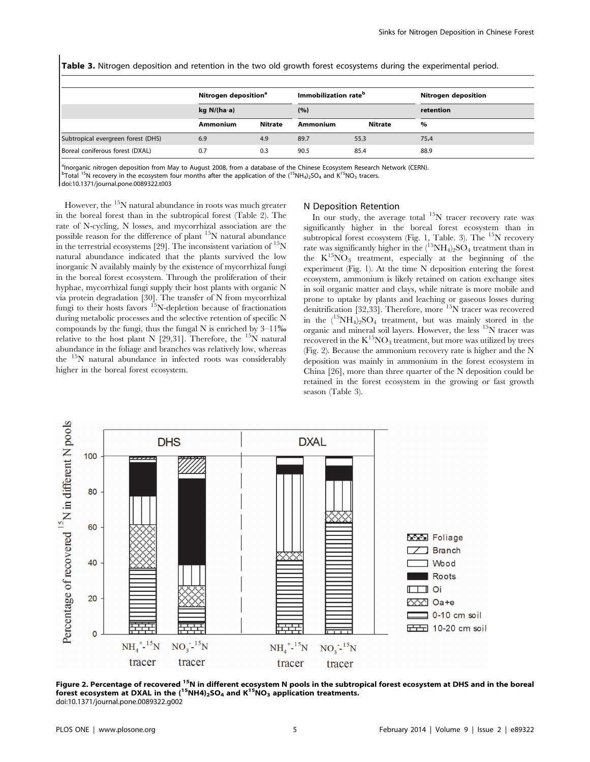Table 3. Nitrogen deposition and retention in the two old growth forest ecosystems during the experimental period.

|                                    | Nitrogen deposition <sup>a</sup> |         | Immobilization rate <sup>b</sup> |         | Nitrogen deposition |  |  |
|------------------------------------|----------------------------------|---------|----------------------------------|---------|---------------------|--|--|
|                                    | kg $N/(ha \cdot a)$              |         | (%)                              |         | retention           |  |  |
|                                    | Ammonium                         | Nitrate | <b>Ammonium</b>                  | Nitrate | %                   |  |  |
| Subtropical evergreen forest (DHS) | 6.9                              | 4.9     | 89.7                             | 55.3    | 75.4                |  |  |
| Boreal coniferous forest (DXAL)    | 0.7                              | 0.3     | 90.5                             | 85.4    | 88.9                |  |  |

a Inorganic nitrogen deposition from May to August 2008, from a database of the Chinese Ecosystem Research Network (CERN).

 $^{\rm b}$ Total <sup>15</sup>N recovery in the ecosystem four months after the application of the (<sup>15</sup>NH<sub>4</sub>)<sub>2</sub>SO<sub>4</sub> and K<sup>15</sup>NO<sub>3</sub> tracers.

doi:10.1371/journal.pone.0089322.t003

However, the  $15N$  natural abundance in roots was much greater in the boreal forest than in the subtropical forest (Table 2). The rate of N-cycling, N losses, and mycorrhizal association are the possible reason for the difference of plant 15N natural abundance in the terrestrial ecosystems [29]. The inconsistent variation of  $\mathrm{^{15}N}$ natural abundance indicated that the plants survived the low inorganic N availably mainly by the existence of mycorrhizal fungi in the boreal forest ecosystem. Through the proliferation of their hyphae, mycorrhizal fungi supply their host plants with organic N via protein degradation [30]. The transfer of N from mycorrhizal fungi to their hosts favors <sup>15</sup>N-depletion because of fractionation during metabolic processes and the selective retention of specific N compounds by the fungi, thus the fungal N is enriched by  $3-11\%$ relative to the host plant N [29,31]. Therefore, the  $^{15}$ N natural abundance in the foliage and branches was relatively low, whereas the 15N natural abundance in infected roots was considerably higher in the boreal forest ecosystem.

#### N Deposition Retention

In our study, the average total  $15N$  tracer recovery rate was significantly higher in the boreal forest ecosystem than in subtropical forest ecosystem (Fig. 1, Table. 3). The <sup>15</sup>N recovery rate was significantly higher in the  $({}^{15}\text{NH}_4)_2\text{SO}_4$  treatment than in the  $K^{15}NO_3$  treatment, especially at the beginning of the experiment (Fig. 1). At the time N deposition entering the forest ecosystem, ammonium is likely retained on cation exchange sites in soil organic matter and clays, while nitrate is more mobile and prone to uptake by plants and leaching or gaseous losses during denitrification [32,33]. Therefore, more  $15N$  tracer was recovered in the  $(^{15}NH_4)_2SO_4$  treatment, but was mainly stored in the organic and mineral soil layers. However, the less 15N tracer was recovered in the  $K^{15}NO_3$  treatment, but more was utilized by trees (Fig. 2). Because the ammonium recovery rate is higher and the N deposition was mainly in ammonium in the forest ecosystem in China [26], more than three quarter of the N deposition could be retained in the forest ecosystem in the growing or fast growth season (Table 3).



Figure 2. Percentage of recovered <sup>15</sup>N in different ecosystem N pools in the subtropical forest ecosystem at DHS and in the boreal forest ecosystem at DXAL in the  $(^{15}$ NH4)<sub>2</sub>SO<sub>4</sub> and K<sup>15</sup>NO<sub>3</sub> application treatments. doi:10.1371/journal.pone.0089322.g002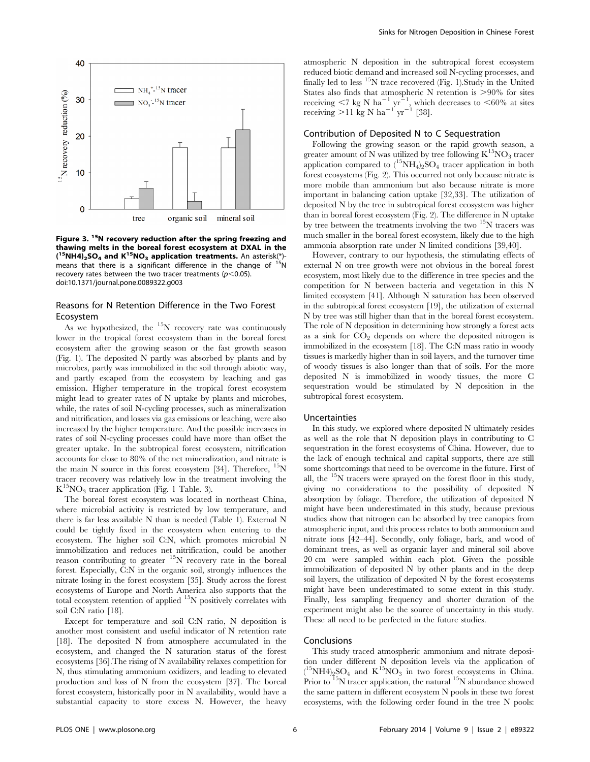

Figure 3. <sup>15</sup>N recovery reduction after the spring freezing and thawing melts in the boreal forest ecosystem at DXAL in the  $(15NH4)_{2}SO_{4}$  and  $K^{15}NO_{3}$  application treatments. An asterisk(\*)means that there is a significant difference in the change of  $15N$ recovery rates between the two tracer treatments ( $p$ <0.05). doi:10.1371/journal.pone.0089322.g003

# Reasons for N Retention Difference in the Two Forest Ecosystem

As we hypothesized, the  $15N$  recovery rate was continuously lower in the tropical forest ecosystem than in the boreal forest ecosystem after the growing season or the fast growth season (Fig. 1). The deposited N partly was absorbed by plants and by microbes, partly was immobilized in the soil through abiotic way, and partly escaped from the ecosystem by leaching and gas emission. Higher temperature in the tropical forest ecosystem might lead to greater rates of N uptake by plants and microbes, while, the rates of soil N-cycling processes, such as mineralization and nitrification, and losses via gas emissions or leaching, were also increased by the higher temperature. And the possible increases in rates of soil N-cycling processes could have more than offset the greater uptake. In the subtropical forest ecosystem, nitrification accounts for close to 80% of the net mineralization, and nitrate is the main N source in this forest ecosystem [34]. Therefore,  $^{15}$ N tracer recovery was relatively low in the treatment involving the  $K^{15}NO<sub>3</sub>$  tracer application (Fig. 1 Table. 3).

The boreal forest ecosystem was located in northeast China, where microbial activity is restricted by low temperature, and there is far less available N than is needed (Table 1). External N could be tightly fixed in the ecosystem when entering to the ecosystem. The higher soil C:N, which promotes microbial N immobilization and reduces net nitrification, could be another reason contributing to greater  $15N$  recovery rate in the boreal forest. Especially, C:N in the organic soil, strongly influences the nitrate losing in the forest ecosystem [35]. Study across the forest ecosystems of Europe and North America also supports that the total ecosystem retention of applied  $15N$  positively correlates with soil C:N ratio [18].

Except for temperature and soil C:N ratio, N deposition is another most consistent and useful indicator of N retention rate [18]. The deposited N from atmosphere accumulated in the ecosystem, and changed the N saturation status of the forest ecosystems [36].The rising of N availability relaxes competition for N, thus stimulating ammonium oxidizers, and leading to elevated production and loss of N from the ecosystem [37]. The boreal forest ecosystem, historically poor in N availability, would have a substantial capacity to store excess N. However, the heavy atmospheric N deposition in the subtropical forest ecosystem reduced biotic demand and increased soil N-cycling processes, and finally led to less  $15N$  trace recovered (Fig. 1). Study in the United States also finds that atmospheric N retention is  $>90\%$  for sites receiving  $\langle 7 \text{ kg N} \text{ ha}^{-1} \text{ yr}^{-1}$ , which decreases to  $\langle 60\% \text{ at sites} \rangle$ receiving  $>$ 11 kg N ha<sup>-1'</sup> yr<sup>-1</sup> [38].

#### Contribution of Deposited N to C Sequestration

Following the growing season or the rapid growth season, a greater amount of N was utilized by tree following  $K^{15}NO_3$  tracer application compared to  $(^{15}NH_4)_2SO_4$  tracer application in both forest ecosystems (Fig. 2). This occurred not only because nitrate is more mobile than ammonium but also because nitrate is more important in balancing cation uptake [32,33]. The utilization of deposited N by the tree in subtropical forest ecosystem was higher than in boreal forest ecosystem (Fig. 2). The difference in N uptake by tree between the treatments involving the two  $^{15}N$  tracers was much smaller in the boreal forest ecosystem, likely due to the high ammonia absorption rate under N limited conditions [39,40].

However, contrary to our hypothesis, the stimulating effects of external N on tree growth were not obvious in the boreal forest ecosystem, most likely due to the difference in tree species and the competition for N between bacteria and vegetation in this N limited ecosystem [41]. Although N saturation has been observed in the subtropical forest ecosystem [19], the utilization of external N by tree was still higher than that in the boreal forest ecosystem. The role of N deposition in determining how strongly a forest acts as a sink for  $CO<sub>2</sub>$  depends on where the deposited nitrogen is immobilized in the ecosystem [18]. The C:N mass ratio in woody tissues is markedly higher than in soil layers, and the turnover time of woody tissues is also longer than that of soils. For the more deposited N is immobilized in woody tissues, the more C sequestration would be stimulated by N deposition in the subtropical forest ecosystem.

#### Uncertainties

In this study, we explored where deposited N ultimately resides as well as the role that N deposition plays in contributing to C sequestration in the forest ecosystems of China. However, due to the lack of enough technical and capital supports, there are still some shortcomings that need to be overcome in the future. First of all, the  $15N$  tracers were sprayed on the forest floor in this study, giving no considerations to the possibility of deposited N absorption by foliage. Therefore, the utilization of deposited N might have been underestimated in this study, because previous studies show that nitrogen can be absorbed by tree canopies from atmospheric input, and this process relates to both ammonium and nitrate ions [42–44]. Secondly, only foliage, bark, and wood of dominant trees, as well as organic layer and mineral soil above 20 cm were sampled within each plot. Given the possible immobilization of deposited N by other plants and in the deep soil layers, the utilization of deposited N by the forest ecosystems might have been underestimated to some extent in this study. Finally, less sampling frequency and shorter duration of the experiment might also be the source of uncertainty in this study. These all need to be perfected in the future studies.

### Conclusions

This study traced atmospheric ammonium and nitrate deposition under different N deposition levels via the application of  $({}^{15}\text{NH4})_{2}\text{SO}_4$  and  $\text{K}^{15}\text{NO}_3$  in two forest ecosystems in China. Prior to <sup>15</sup>N tracer application, the natural <sup>15</sup>N abundance showed the same pattern in different ecosystem N pools in these two forest ecosystems, with the following order found in the tree N pools: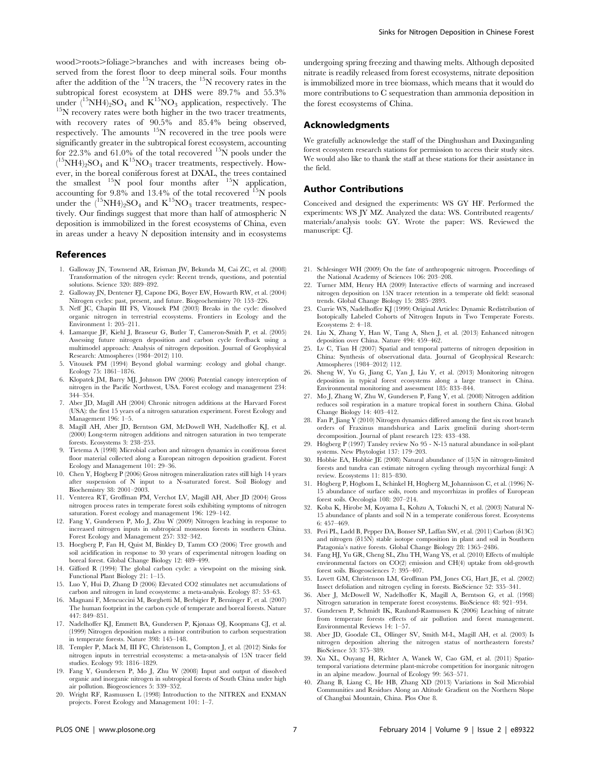wood>roots>foliage>branches and with increases being observed from the forest floor to deep mineral soils. Four months after the addition of the  $^{15}N$  tracers, the  $^{15}N$  recovery rates in the subtropical forest ecosystem at DHS were 89.7% and 55.3% under  $({}^{15}\text{NH4})_2\text{SO}_4$  and  $\text{K}^{15}\text{NO}_3$  application, respectively. The  $^{15}\text{N}$  recovery rates were both higher in the two tracer treatments, with recovery rates of 90.5% and 85.4% being observed, respectively. The amounts 15N recovered in the tree pools were significantly greater in the subtropical forest ecosystem, accounting for 22.3% and 61.0% of the total recovered  $^{15}N$  pools under the  $(^{15}NH4)_2SO_4$  and  $K^{15}NO_3$  tracer treatments, respectively. However, in the boreal coniferous forest at DXAL, the trees contained the smallest <sup>15</sup>N pool four months after <sup>15</sup>N application, accounting for  $9.8\%$  and  $13.4\%$  of the total recovered  $15N$  pools under the  $(15NH4)_{2}SO_{4}$  and  $K^{15}NO_{3}$  tracer treatments, respectively. Our findings suggest that more than half of atmospheric N deposition is immobilized in the forest ecosystems of China, even in areas under a heavy N deposition intensity and in ecosystems

#### References

- 1. Galloway JN, Townsend AR, Erisman JW, Bekunda M, Cai ZC, et al. (2008) Transformation of the nitrogen cycle: Recent trends, questions, and potential solutions. Science 320: 889–892.
- 2. Galloway JN, Dentener FJ, Capone DG, Boyer EW, Howarth RW, et al. (2004) Nitrogen cycles: past, present, and future. Biogeochemistry 70: 153–226.
- 3. Neff JC, Chapin III FS, Vitousek PM (2003) Breaks in the cycle: dissolved organic nitrogen in terrestrial ecosystems. Frontiers in Ecology and the Environment 1: 205–211.
- 4. Lamarque JF, Kiehl J, Brasseur G, Butler T, Cameron-Smith P, et al. (2005) Assessing future nitrogen deposition and carbon cycle feedback using a multimodel approach: Analysis of nitrogen deposition. Journal of Geophysical Research: Atmospheres (1984–2012) 110.
- 5. Vitousek PM (1994) Beyond global warming: ecology and global change. Ecology 75: 1861–1876.
- 6. Klopatek JM, Barry MJ, Johnson DW (2006) Potential canopy interception of nitrogen in the Pacific Northwest, USA. Forest ecology and management 234: 344–354.
- 7. Aber JD, Magill AH (2004) Chronic nitrogen additions at the Harvard Forest (USA): the first 15 years of a nitrogen saturation experiment. Forest Ecology and Management 196: 1–5.
- 8. Magill AH, Aber JD, Berntson GM, McDowell WH, Nadelhoffer KJ, et al. (2000) Long-term nitrogen additions and nitrogen saturation in two temperate forests. Ecosystems 3: 238–253.
- 9. Tietema A (1998) Microbial carbon and nitrogen dynamics in coniferous forest floor material collected along a European nitrogen deposition gradient. Forest Ecology and Management 101: 29–36.
- 10. Chen Y, Högberg P (2006) Gross nitrogen mineralization rates still high 14 years after suspension of N input to a N-saturated forest. Soil Biology and Biochemistry 38: 2001–2003.
- 11. Venterea RT, Groffman PM, Verchot LV, Magill AH, Aber JD (2004) Gross nitrogen process rates in temperate forest soils exhibiting symptoms of nitrogen saturation. Forest ecology and management 196: 129–142.
- 12. Fang Y, Gundersen P, Mo J, Zhu W (2009) Nitrogen leaching in response to increased nitrogen inputs in subtropical monsoon forests in southern China. Forest Ecology and Management 257: 332–342.
- 13. Hoegberg P, Fan H, Quist M, Binkley D, Tamm CO (2006) Tree growth and soil acidification in response to 30 years of experimental nitrogen loading on boreal forest. Global Change Biology 12: 489–499.
- 14. Gifford R (1994) The global carbon cycle: a viewpoint on the missing sink. Functional Plant Biology 21: 1–15.
- 15. Luo Y, Hui D, Zhang D (2006) Elevated CO2 stimulates net accumulations of carbon and nitrogen in land ecosystems: a meta-analysis. Ecology 87: 53–63.
- 16. Magnani F, Mencuccini M, Borghetti M, Berbigier P, Berninger F, et al. (2007) The human footprint in the carbon cycle of temperate and boreal forests. Nature 447: 849–851.
- 17. Nadelhoffer KJ, Emmett BA, Gundersen P, Kjønaas OJ, Koopmans CJ, et al. (1999) Nitrogen deposition makes a minor contribution to carbon sequestration in temperate forests. Nature 398: 145–148.
- 18. Templer P, Mack M, III FC, Christenson L, Compton J, et al. (2012) Sinks for nitrogen inputs in terrestrial ecosystems: a meta-analysis of 15N tracer field studies. Ecology 93: 1816–1829.
- 19. Fang Y, Gundersen P, Mo J, Zhu W (2008) Input and output of dissolved organic and inorganic nitrogen in subtropical forests of South China under high air pollution. Biogeosciences 5: 339–352.
- 20. Wright RF, Rasmussen L (1998) Introduction to the NITREX and EXMAN projects. Forest Ecology and Management 101: 1–7.

undergoing spring freezing and thawing melts. Although deposited nitrate is readily released from forest ecosystems, nitrate deposition is immobilized more in tree biomass, which means that it would do more contributions to C sequestration than ammonia deposition in the forest ecosystems of China.

# Acknowledgments

We gratefully acknowledge the staff of the Dinghushan and Daxinganling forest ecosystem research stations for permission to access their study sites. We would also like to thank the staff at these stations for their assistance in the field.

# Author Contributions

Conceived and designed the experiments: WS GY HF. Performed the experiments: WS JY MZ. Analyzed the data: WS. Contributed reagents/ materials/analysis tools: GY. Wrote the paper: WS. Reviewed the manuscript: CJ.

- 21. Schlesinger WH (2009) On the fate of anthropogenic nitrogen. Proceedings of the National Academy of Sciences 106: 203–208.
- 22. Turner MM, Henry HA (2009) Interactive effects of warming and increased nitrogen deposition on 15N tracer retention in a temperate old field: seasonal trends. Global Change Biology 15: 2885–2893.
- 23. Currie WS, Nadelhoffer KJ (1999) Original Articles: Dynamic Redistribution of Isotopically Labeled Cohorts of Nitrogen Inputs in Two Temperate Forests. Ecosystems 2: 4–18.
- 24. Liu X, Zhang Y, Han W, Tang A, Shen J, et al. (2013) Enhanced nitrogen deposition over China. Nature 494: 459–462.
- 25. Lv C, Tian H (2007) Spatial and temporal patterns of nitrogen deposition in China: Synthesis of observational data. Journal of Geophysical Research: Atmospheres (1984–2012) 112.
- 26. Sheng W, Yu G, Jiang C, Yan J, Liu Y, et al. (2013) Monitoring nitrogen deposition in typical forest ecosystems along a large transect in China. Environmental monitoring and assessment 185: 833–844.
- 27. Mo J, Zhang W, Zhu W, Gundersen P, Fang Y, et al. (2008) Nitrogen addition reduces soil respiration in a mature tropical forest in southern China. Global Change Biology 14: 403–412.
- 28. Fan P, Jiang Y (2010) Nitrogen dynamics differed among the first six root branch orders of Fraxinus mandshurica and Larix gmelinii during short-term decomposition. Journal of plant research 123: 433–438.
- 29. Högberg P (1997) Tansley review No 95 N-15 natural abundance in soil-plant systems. New Phytologist 137: 179–203.
- 30. Hobbie EA, Hobbie JE (2008) Natural abundance of (15)N in nitrogen-limited forests and tundra can estimate nitrogen cycling through mycorrhizal fungi: A review. Ecosystems 11: 815–830.
- 31. Högberg P, Högbom L, Schinkel H, Högberg M, Johannisson C, et al. (1996) N-15 abundance of surface soils, roots and mycorrhizas in profiles of European forest soils. Oecologia 108: 207–214.
- 32. Koba K, Hirobe M, Koyama L, Kohzu A, Tokuchi N, et al. (2003) Natural N-15 abundance of plants and soil N in a temperate coniferous forest. Ecosystems 6: 457–469.
- 33. Peri PL, Ladd B, Pepper DA, Bonser SP, Laffan SW, et al. (2011) Carbon ( $\delta$ 13C) and nitrogen  $(\delta15N)$  stable isotope composition in plant and soil in Southern Patagonia's native forests. Global Change Biology 28: 1365–2486.
- 34. Fang HJ, Yu GR, Cheng SL, Zhu TH, Wang YS, et al. (2010) Effects of multiple environmental factors on CO(2) emission and CH(4) uptake from old-growth forest soils. Biogeosciences 7: 395–407.
- 35. Lovett GM, Christenson LM, Groffman PM, Jones CG, Hart JE, et al. (2002) Insect defoliation and nitrogen cycling in forests. BioScience 52: 335–341.
- 36. Aber J, McDowell W, Nadelhoffer K, Magill A, Berntson G, et al. (1998) Nitrogen saturation in temperate forest ecosystems. BioScience 48: 921–934.
- 37. Gundersen P, Schmidt IK, Raulund-Rasmussen K (2006) Leaching of nitrate from temperate forests effects of air pollution and forest management. Environmental Reviews 14: 1–57.
- 38. Aber JD, Goodale CL, Ollinger SV, Smith M-L, Magill AH, et al. (2003) Is nitrogen deposition altering the nitrogen status of northeastern forests? BioScience 53: 375–389.
- 39. Xu XL, Ouyang H, Richter A, Wanek W, Cao GM, et al. (2011) Spatiotemporal variations determine plant-microbe competition for inorganic nitrogen in an alpine meadow. Journal of Ecology 99: 563–571.
- 40. Zhang B, Liang C, He HB, Zhang XD (2013) Variations in Soil Microbial Communities and Residues Along an Altitude Gradient on the Northern Slope of Changbai Mountain, China. Plos One 8.